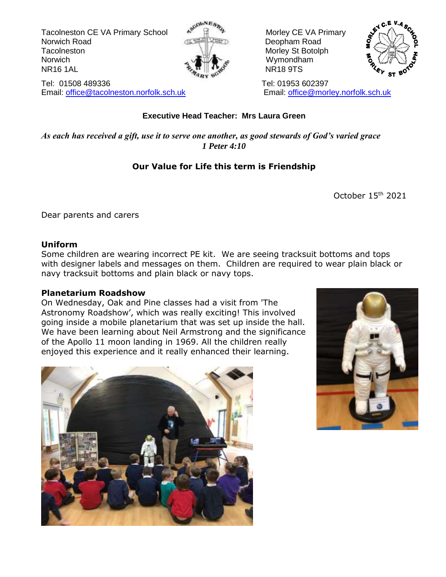Tacolneston CE VA Primary School  $\mathbb{R}^{\mathbb{N}}$   $\mathbb{R}^{\mathbb{N}}$  Morley CE VA Primary Norwich Road **Deopham Road Deopham Road** Tacolneston **Moreover Structure Structure Morley Structure Structure Morley Structure Morley Structure In Annunction** Norwich Norwich  $\sim$   $\sqrt{2\pi}$  Wymondham NR16 1AL NR18 9TS



Tel: 01508 489336 Tel: 01953 602397 Email: [office@tacolneston.norfolk.sch.uk](mailto:office@tacolneston.norfolk.sch.uk) Email: [office@morley.norfolk.sch.uk](mailto:office@morley.norfolk.sch.uk) 



#### **Executive Head Teacher: Mrs Laura Green**

*As each has received a gift, use it to serve one another, as good stewards of God's varied grace 1 Peter 4:10*

#### **Our Value for Life this term is Friendship**

October 15th 2021

Dear parents and carers

#### **Uniform**

Some children are wearing incorrect PE kit. We are seeing tracksuit bottoms and tops with designer labels and messages on them. Children are required to wear plain black or navy tracksuit bottoms and plain black or navy tops.

#### **Planetarium Roadshow**

On Wednesday, Oak and Pine classes had a visit from 'The Astronomy Roadshow', which was really exciting! This involved going inside a mobile planetarium that was set up inside the hall. We have been learning about Neil Armstrong and the significance of the Apollo 11 moon landing in 1969. All the children really enjoyed this experience and it really enhanced their learning.



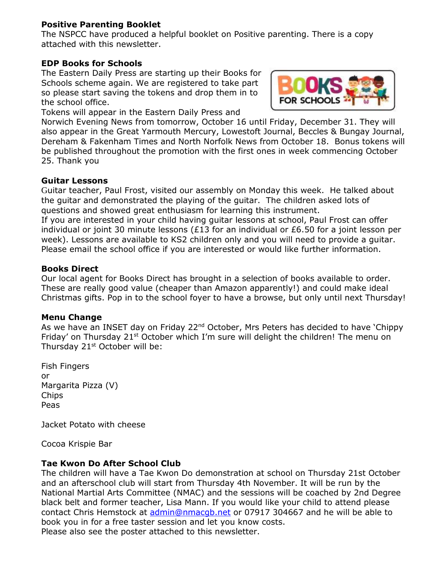#### **Positive Parenting Booklet**

The NSPCC have produced a helpful booklet on Positive parenting. There is a copy attached with this newsletter.

#### **EDP Books for Schools**

The Eastern Daily Press are starting up their Books for Schools scheme again. We are registered to take part so please start saving the tokens and drop them in to the school office.

Tokens will appear in the Eastern Daily Press and



Norwich Evening News from tomorrow, October 16 until Friday, December 31. They will also appear in the Great Yarmouth Mercury, Lowestoft Journal, Beccles & Bungay Journal, Dereham & Fakenham Times and North Norfolk News from October 18. Bonus tokens will be published throughout the promotion with the first ones in week commencing October 25. Thank you

#### **Guitar Lessons**

Guitar teacher, Paul Frost, visited our assembly on Monday this week. He talked about the guitar and demonstrated the playing of the guitar. The children asked lots of questions and showed great enthusiasm for learning this instrument.

If you are interested in your child having guitar lessons at school, Paul Frost can offer individual or joint 30 minute lessons (£13 for an individual or £6.50 for a joint lesson per week). Lessons are available to KS2 children only and you will need to provide a guitar. Please email the school office if you are interested or would like further information.

#### **Books Direct**

Our local agent for Books Direct has brought in a selection of books available to order. These are really good value (cheaper than Amazon apparently!) and could make ideal Christmas gifts. Pop in to the school foyer to have a browse, but only until next Thursday!

#### **Menu Change**

As we have an INSET day on Friday 22<sup>nd</sup> October, Mrs Peters has decided to have 'Chippy Friday' on Thursday 21<sup>st</sup> October which I'm sure will delight the children! The menu on Thursday 21<sup>st</sup> October will be:

Fish Fingers or Margarita Pizza (V) Chips Peas

Jacket Potato with cheese

Cocoa Krispie Bar

#### **Tae Kwon Do After School Club**

The children will have a Tae Kwon Do demonstration at school on Thursday 21st October and an afterschool club will start from Thursday 4th November. It will be run by the National Martial Arts Committee (NMAC) and the sessions will be coached by 2nd Degree black belt and former teacher, Lisa Mann. If you would like your child to attend please contact Chris Hemstock at [admin@nmacgb.net](mailto:admin@nmacgb.net) or 07917 304667 and he will be able to book you in for a free taster session and let you know costs. Please also see the poster attached to this newsletter.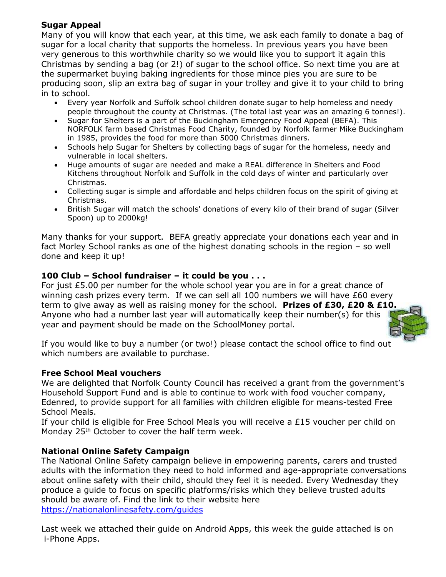#### **Sugar Appeal**

Many of you will know that each year, at this time, we ask each family to donate a bag of sugar for a local charity that supports the homeless. In previous years you have been very generous to this worthwhile charity so we would like you to support it again this Christmas by sending a bag (or 2!) of sugar to the school office. So next time you are at the supermarket buying baking ingredients for those mince pies you are sure to be producing soon, slip an extra bag of sugar in your trolley and give it to your child to bring in to school.

- Every year Norfolk and Suffolk school children donate sugar to help homeless and needy people throughout the county at Christmas. (The total last year was an amazing 6 tonnes!).
- Sugar for Shelters is a part of the Buckingham Emergency Food Appeal (BEFA). This NORFOLK farm based Christmas Food Charity, founded by Norfolk farmer Mike Buckingham in 1985, provides the food for more than 5000 Christmas dinners.
- Schools help Sugar for Shelters by collecting bags of sugar for the homeless, needy and vulnerable in local shelters.
- Huge amounts of sugar are needed and make a REAL difference in Shelters and Food Kitchens throughout Norfolk and Suffolk in the cold days of winter and particularly over Christmas.
- Collecting sugar is simple and affordable and helps children focus on the spirit of giving at Christmas.
- British Sugar will match the schools' donations of every kilo of their brand of sugar (Silver Spoon) up to 2000kg!

Many thanks for your support. BEFA greatly appreciate your donations each year and in fact Morley School ranks as one of the highest donating schools in the region – so well done and keep it up!

#### **100 Club – School fundraiser – it could be you . . .**

For just  $£5.00$  per number for the whole school year you are in for a great chance of winning cash prizes every term. If we can sell all 100 numbers we will have £60 every term to give away as well as raising money for the school. **Prizes of £30, £20 & £10.** Anyone who had a number last year will automatically keep their number(s) for this year and payment should be made on the SchoolMoney portal.



If you would like to buy a number (or two!) please contact the school office to find out which numbers are available to purchase.

#### **Free School Meal vouchers**

We are delighted that Norfolk County Council has received a grant from the government's Household Support Fund and is able to continue to work with food voucher company, Edenred, to provide support for all families with children eligible for means-tested Free School Meals.

If your child is eligible for Free School Meals you will receive a £15 voucher per child on Monday 25<sup>th</sup> October to cover the half term week.

#### **National Online Safety Campaign**

The National Online Safety campaign believe in empowering parents, carers and trusted adults with the information they need to hold informed and age-appropriate conversations about online safety with their child, should they feel it is needed. Every Wednesday they produce a guide to focus on specific platforms/risks which they believe trusted adults should be aware of. Find the link to their website here <https://nationalonlinesafety.com/guides>

Last week we attached their guide on Android Apps, this week the guide attached is on i-Phone Apps.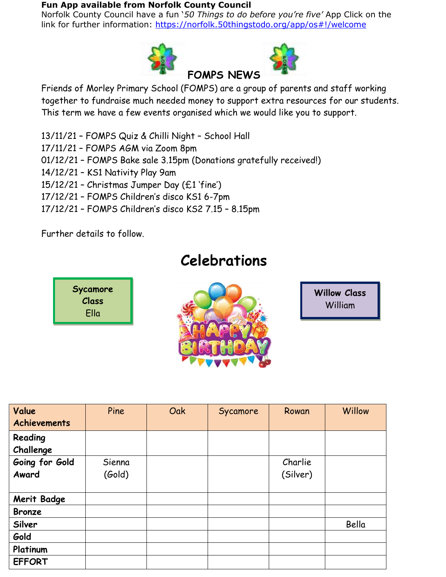#### **Fun App available from Norfolk County Council**

Norfolk County Council have a fun '*50 Things to do before you're five'* App Click on the link for further information: <https://norfolk.50thingstodo.org/app/os#!/welcome>



Friends of Morley Primary School (FOMPS) are a group of parents and staff working together to fundraise much needed money to support extra resources for our students. This term we have a few events organised which we would like you to support.

- 13/11/21 FOMPS Quiz & Chilli Night School Hall
- 17/11/21 FOMPS AGM via Zoom 8pm
- 01/12/21 FOMPS Bake sale 3.15pm (Donations gratefully received!)
- 14/12/21 KS1 Nativity Play 9am
- 15/12/21 Christmas Jumper Day (£1 'fine')
- 17/12/21 FOMPS Children's disco KS1 6-7pm
- 17/12/21 FOMPS Children's disco KS2 7.15 8.15pm

Further details to follow.

## **Celebrations**

**Sycamore Class** Ella



**Willow Class** William

| Value               | Pine   | Oak | Sycamore | Rowan    | Willow |
|---------------------|--------|-----|----------|----------|--------|
| <b>Achievements</b> |        |     |          |          |        |
| Reading             |        |     |          |          |        |
| Challenge           |        |     |          |          |        |
| Going for Gold      | Sienna |     |          | Charlie  |        |
| Award               | (Gold) |     |          | (Silver) |        |
|                     |        |     |          |          |        |
| <b>Merit Badge</b>  |        |     |          |          |        |
| <b>Bronze</b>       |        |     |          |          |        |
| Silver              |        |     |          |          | Bella  |
| Gold                |        |     |          |          |        |
| Platinum            |        |     |          |          |        |
| <b>EFFORT</b>       |        |     |          |          |        |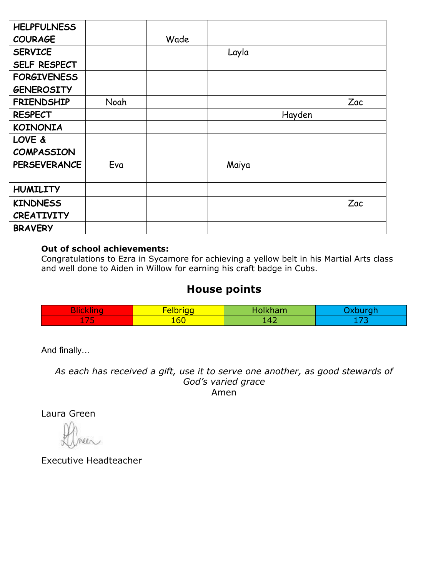| <b>HELPFULNESS</b>  |      |      |       |        |     |
|---------------------|------|------|-------|--------|-----|
| <b>COURAGE</b>      |      | Wade |       |        |     |
| <b>SERVICE</b>      |      |      | Layla |        |     |
| SELF RESPECT        |      |      |       |        |     |
| <b>FORGIVENESS</b>  |      |      |       |        |     |
| <b>GENEROSITY</b>   |      |      |       |        |     |
| <b>FRIENDSHIP</b>   | Noah |      |       |        | Zac |
| <b>RESPECT</b>      |      |      |       | Hayden |     |
| <b>KOINONIA</b>     |      |      |       |        |     |
| LOVE &              |      |      |       |        |     |
| <b>COMPASSION</b>   |      |      |       |        |     |
| <b>PERSEVERANCE</b> | Eva  |      | Maiya |        |     |
|                     |      |      |       |        |     |
| <b>HUMILITY</b>     |      |      |       |        |     |
| <b>KINDNESS</b>     |      |      |       |        | Zac |
| <b>CREATIVITY</b>   |      |      |       |        |     |
| <b>BRAVERY</b>      |      |      |       |        |     |

#### **Out of school achievements:**

Congratulations to Ezra in Sycamore for achieving a yellow belt in his Martial Arts class and well done to Aiden in Willow for earning his craft badge in Cubs.

#### **House points**

| $\sim$                                              | <b>TIL</b><br>-- |           |    |
|-----------------------------------------------------|------------------|-----------|----|
| __<br><b>Contract Contract</b><br><b>CONTRACTOR</b> | --<br>100        | オコ<br>. . | -- |

And finally…

*As each has received a gift, use it to serve one another, as good stewards of God's varied grace* Amen

Laura Green

Executive Headteacher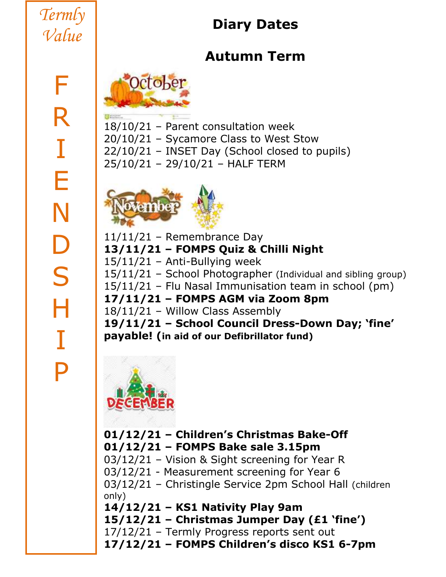# *Termly Value*

# **Diary Dates**

# **Autumn Term**



18/10/21 – Parent consultation week 20/10/21 – Sycamore Class to West Stow 22/10/21 – INSET Day (School closed to pupils) 25/10/21 – 29/10/21 – HALF TERM



11/11/21 – Remembrance Day **13/11/21 – FOMPS Quiz & Chilli Night**  $15/11/21$  – Anti-Bullying week 15/11/21 – School Photographer (Individual and sibling group) 15/11/21 – Flu Nasal Immunisation team in school (pm) **17/11/21 – FOMPS AGM via Zoom 8pm** 18/11/21 – Willow Class Assembly **19/11/21 – School Council Dress-Down Day; 'fine' payable! (in aid of our Defibrillator fund)**



### **01/12/21 – Children's Christmas Bake-Off 01/12/21 – FOMPS Bake sale 3.15pm**

03/12/21 – Vision & Sight screening for Year R

03/12/21 - Measurement screening for Year 6

03/12/21 – Christingle Service 2pm School Hall (children only)

**14/12/21 – KS1 Nativity Play 9am**

**15/12/21 – Christmas Jumper Day (£1 'fine')**

17/12/21 – Termly Progress reports sent out

**17/12/21 – FOMPS Children's disco KS1 6-7pm**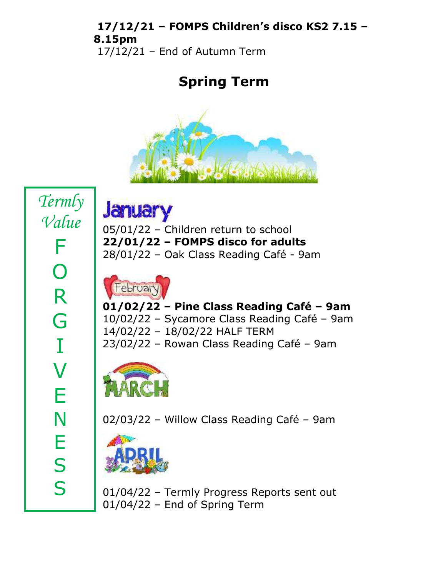### **17/12/21 – FOMPS Children's disco KS2 7.15 – 8.15pm**

17/12/21 – End of Autumn Term

## **Spring Term**



**January** 

05/01/22 – Children return to school **22/01/22 – FOMPS disco for adults** 28/01/22 – Oak Class Reading Café - 9am



**01/02/22 – Pine Class Reading Café – 9am** 10/02/22 – Sycamore Class Reading Café – 9am 14/02/22 – 18/02/22 HALF TERM 23/02/22 – Rowan Class Reading Café – 9am



02/03/22 – Willow Class Reading Café – 9am



01/04/22 – Termly Progress Reports sent out 01/04/22 – End of Spring Term